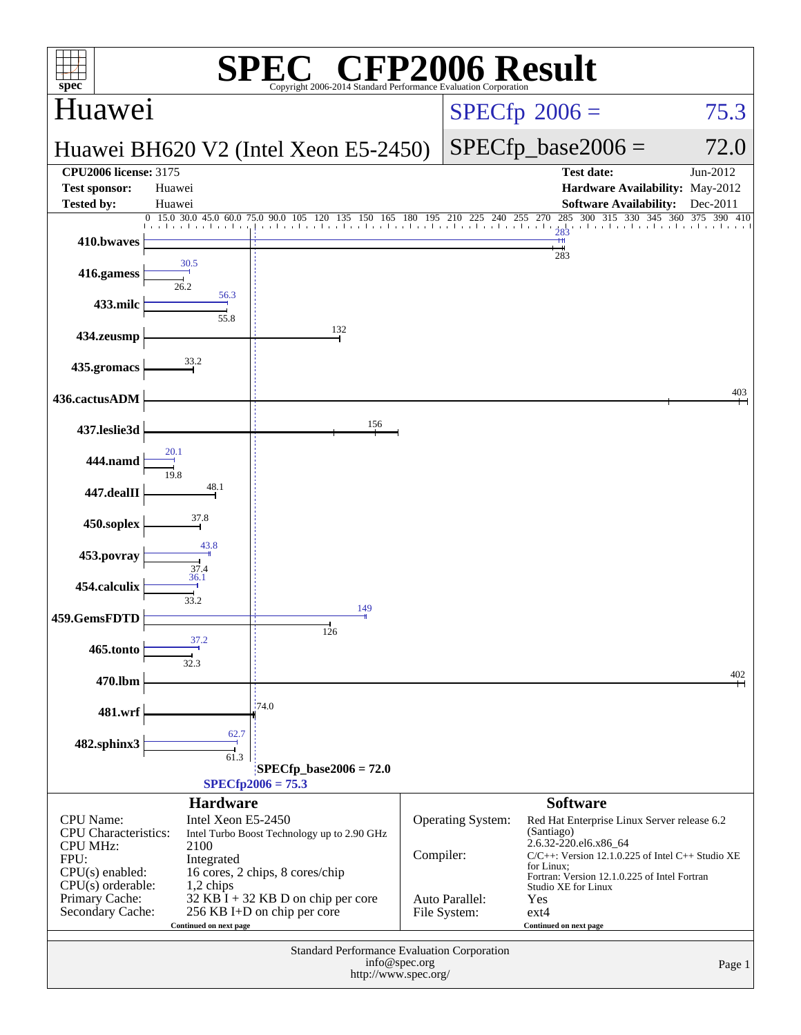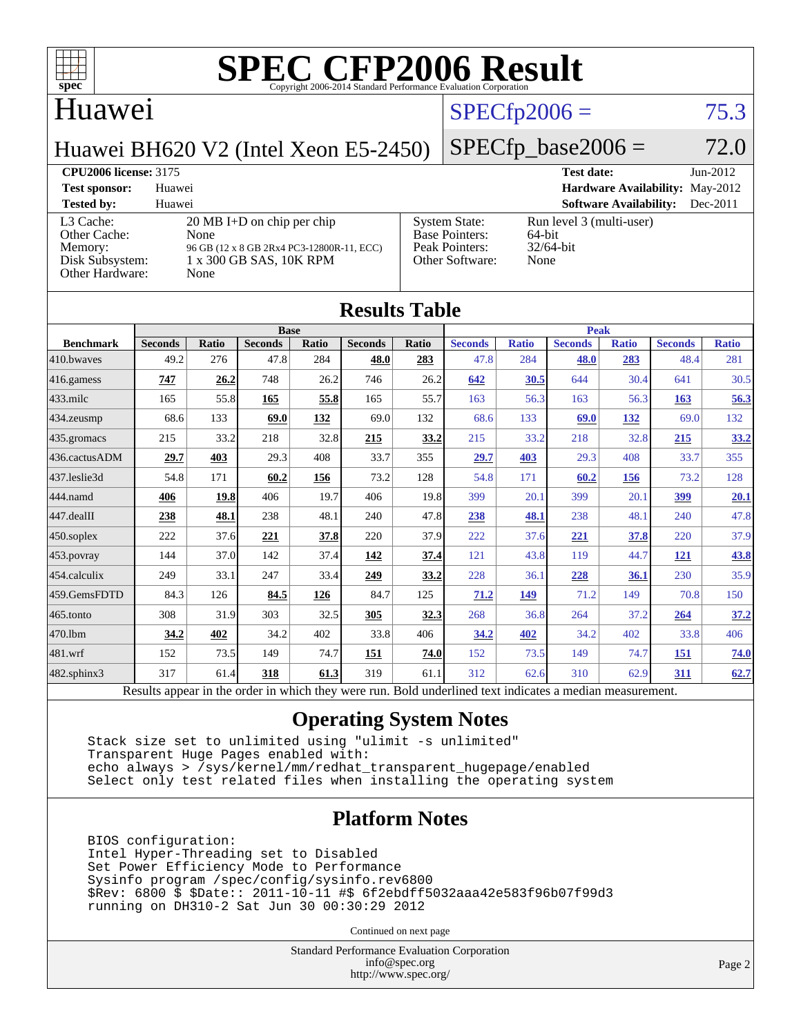

#### Huawei

## $SPECfp2006 = 75.3$  $SPECfp2006 = 75.3$

Huawei BH620 V2 (Intel Xeon E5-2450)

### $SPECfp\_base2006 = 72.0$

#### **[CPU2006 license:](http://www.spec.org/auto/cpu2006/Docs/result-fields.html#CPU2006license)** 3175 **[Test date:](http://www.spec.org/auto/cpu2006/Docs/result-fields.html#Testdate)** Jun-2012

**[Test sponsor:](http://www.spec.org/auto/cpu2006/Docs/result-fields.html#Testsponsor)** Huawei **[Hardware Availability:](http://www.spec.org/auto/cpu2006/Docs/result-fields.html#HardwareAvailability)** May-2012 **[Tested by:](http://www.spec.org/auto/cpu2006/Docs/result-fields.html#Testedby)** Huawei **[Software Availability:](http://www.spec.org/auto/cpu2006/Docs/result-fields.html#SoftwareAvailability)** Dec-2011 [L3 Cache:](http://www.spec.org/auto/cpu2006/Docs/result-fields.html#L3Cache) 20 MB I+D on chip per chip<br>Other Cache: None [Other Cache:](http://www.spec.org/auto/cpu2006/Docs/result-fields.html#OtherCache) [Memory:](http://www.spec.org/auto/cpu2006/Docs/result-fields.html#Memory) 96 GB (12 x 8 GB 2Rx4 PC3-12800R-11, ECC) [Disk Subsystem:](http://www.spec.org/auto/cpu2006/Docs/result-fields.html#DiskSubsystem) 1 x 300 GB SAS, 10K RPM [Other Hardware:](http://www.spec.org/auto/cpu2006/Docs/result-fields.html#OtherHardware) None [System State:](http://www.spec.org/auto/cpu2006/Docs/result-fields.html#SystemState) Run level 3 (multi-user)<br>Base Pointers: 64-bit [Base Pointers:](http://www.spec.org/auto/cpu2006/Docs/result-fields.html#BasePointers) 64-bit<br>Peak Pointers: 32/64-bit [Peak Pointers:](http://www.spec.org/auto/cpu2006/Docs/result-fields.html#PeakPointers) [Other Software:](http://www.spec.org/auto/cpu2006/Docs/result-fields.html#OtherSoftware) None

|                        |                                                                                                          |              |                |       | <b>Results Table</b> |              |                |              |                |              |                |              |
|------------------------|----------------------------------------------------------------------------------------------------------|--------------|----------------|-------|----------------------|--------------|----------------|--------------|----------------|--------------|----------------|--------------|
|                        | <b>Base</b>                                                                                              |              |                |       |                      |              | <b>Peak</b>    |              |                |              |                |              |
| <b>Benchmark</b>       | <b>Seconds</b>                                                                                           | <b>Ratio</b> | <b>Seconds</b> | Ratio | <b>Seconds</b>       | <b>Ratio</b> | <b>Seconds</b> | <b>Ratio</b> | <b>Seconds</b> | <b>Ratio</b> | <b>Seconds</b> | <b>Ratio</b> |
| 410.bwayes             | 49.2                                                                                                     | 276          | 47.8           | 284   | 48.0                 | 283          | 47.8           | 284          | 48.0           | 283          | 48.4           | 281          |
| $416$ .gamess          | 747                                                                                                      | 26.2         | 748            | 26.2  | 746                  | 26.2         | 642            | 30.5         | 644            | 30.4         | 641            | 30.5         |
| $ 433$ .milc           | 165                                                                                                      | 55.8         | 165            | 55.8  | 165                  | 55.7         | 163            | 56.3         | 163            | 56.3         | 163            | 56.3         |
| $434$ . zeusmp         | 68.6                                                                                                     | 133          | 69.0           | 132   | 69.0                 | 132          | 68.6           | 133          | 69.0           | <u>132</u>   | 69.0           | 132          |
| $435.$ gromacs         | 215                                                                                                      | 33.2         | 218            | 32.8  | 215                  | 33.2         | 215            | 33.2         | 218            | 32.8         | 215            | 33.2         |
| 436.cactusADM          | 29.7                                                                                                     | 403          | 29.3           | 408   | 33.7                 | 355          | 29.7           | 403          | 29.3           | 408          | 33.7           | 355          |
| 437.leslie3d           | 54.8                                                                                                     | 171          | 60.2           | 156   | 73.2                 | 128          | 54.8           | 171          | 60.2           | <b>156</b>   | 73.2           | 128          |
| 444.namd               | 406                                                                                                      | <u>19.8</u>  | 406            | 19.7  | 406                  | 19.8         | 399            | 20.1         | 399            | 20.1         | <u>399</u>     | 20.1         |
| $ 447 \text{.}$ dealII | 238                                                                                                      | 48.1         | 238            | 48.1  | 240                  | 47.8         | 238            | 48.1         | 238            | 48.1         | 240            | 47.8         |
| $450$ .soplex          | 222                                                                                                      | 37.6         | 221            | 37.8  | 220                  | 37.9         | 222            | 37.6         | 221            | 37.8         | 220            | 37.9         |
| $453$ .povray          | 144                                                                                                      | 37.0         | 142            | 37.4  | 142                  | 37.4         | 121            | 43.8         | 119            | 44.7         | 121            | 43.8         |
| $ 454$ .calculix       | 249                                                                                                      | 33.1         | 247            | 33.4  | 249                  | 33.2         | 228            | 36.1         | 228            | 36.1         | 230            | 35.9         |
| 459.GemsFDTD           | 84.3                                                                                                     | 126          | 84.5           | 126   | 84.7                 | 125          | 71.2           | 149          | 71.2           | 149          | 70.8           | 150          |
| $465$ .tonto           | 308                                                                                                      | 31.9         | 303            | 32.5  | 305                  | 32.3         | 268            | 36.8         | 264            | 37.2         | 264            | 37.2         |
| 470.1bm                | 34.2                                                                                                     | 402          | 34.2           | 402   | 33.8                 | 406          | 34.2           | 402          | 34.2           | 402          | 33.8           | 406          |
| 481.wrf                | 152                                                                                                      | 73.5         | 149            | 74.7  | 151                  | 74.0         | 152            | 73.5         | 149            | 74.7         | 151            | 74.0         |
| $482$ .sphinx $3$      | 317                                                                                                      | 61.4         | 318            | 61.3  | 319                  | 61.1         | 312            | 62.6         | 310            | 62.9         | 311            | 62.7         |
|                        | Results appear in the order in which they were run. Bold underlined text indicates a median measurement. |              |                |       |                      |              |                |              |                |              |                |              |

#### **[Operating System Notes](http://www.spec.org/auto/cpu2006/Docs/result-fields.html#OperatingSystemNotes)**

 Stack size set to unlimited using "ulimit -s unlimited" Transparent Huge Pages enabled with: echo always > /sys/kernel/mm/redhat\_transparent\_hugepage/enabled Select only test related files when installing the operating system

#### **[Platform Notes](http://www.spec.org/auto/cpu2006/Docs/result-fields.html#PlatformNotes)**

 BIOS configuration: Intel Hyper-Threading set to Disabled Set Power Efficiency Mode to Performance Sysinfo program /spec/config/sysinfo.rev6800 \$Rev: 6800 \$ \$Date:: 2011-10-11 #\$ 6f2ebdff5032aaa42e583f96b07f99d3 running on DH310-2 Sat Jun 30 00:30:29 2012

Continued on next page

Standard Performance Evaluation Corporation [info@spec.org](mailto:info@spec.org) <http://www.spec.org/>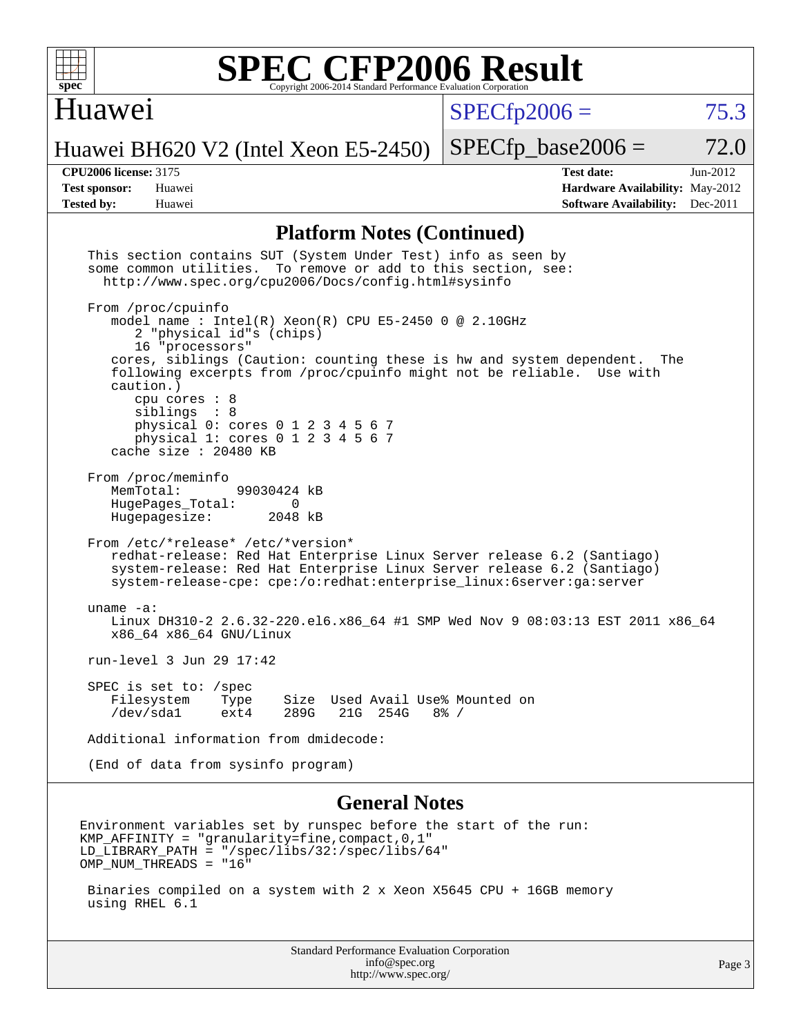

### Huawei

 $SPECfp2006 = 75.3$  $SPECfp2006 = 75.3$ 

Huawei BH620 V2 (Intel Xeon E5-2450)

**[CPU2006 license:](http://www.spec.org/auto/cpu2006/Docs/result-fields.html#CPU2006license)** 3175 **[Test date:](http://www.spec.org/auto/cpu2006/Docs/result-fields.html#Testdate)** Jun-2012 **[Test sponsor:](http://www.spec.org/auto/cpu2006/Docs/result-fields.html#Testsponsor)** Huawei **[Hardware Availability:](http://www.spec.org/auto/cpu2006/Docs/result-fields.html#HardwareAvailability)** May-2012 **[Tested by:](http://www.spec.org/auto/cpu2006/Docs/result-fields.html#Testedby)** Huawei **[Software Availability:](http://www.spec.org/auto/cpu2006/Docs/result-fields.html#SoftwareAvailability)** Dec-2011

 $SPECTp\_base2006 = 72.0$ 

#### **[Platform Notes \(Continued\)](http://www.spec.org/auto/cpu2006/Docs/result-fields.html#PlatformNotes)**

| This section contains SUT (System Under Test) info as seen by<br>some common utilities. To remove or add to this section, see:<br>http://www.spec.org/cpu2006/Docs/config.html#sysinfo                                                                                                                                                                                                                                                  |        |
|-----------------------------------------------------------------------------------------------------------------------------------------------------------------------------------------------------------------------------------------------------------------------------------------------------------------------------------------------------------------------------------------------------------------------------------------|--------|
| From /proc/cpuinfo<br>model name : Intel(R) Xeon(R) CPU E5-2450 0 @ 2.10GHz<br>2 "physical id"s (chips)<br>16 "processors"<br>cores, siblings (Caution: counting these is hw and system dependent.<br>The<br>following excerpts from /proc/cpuinfo might not be reliable. Use with<br>caution.)<br>cpu cores $: 8$<br>siblings : 8<br>physical 0: cores 0 1 2 3 4 5 6 7<br>physical 1: cores 0 1 2 3 4 5 6 7<br>cache size $: 20480$ KB |        |
| From /proc/meminfo<br>MemTotal:<br>99030424 kB<br>HugePages_Total:<br>$\sim$ 0<br>Hugepagesize:<br>2048 kB                                                                                                                                                                                                                                                                                                                              |        |
| From /etc/*release* /etc/*version*<br>redhat-release: Red Hat Enterprise Linux Server release 6.2 (Santiago)<br>system-release: Red Hat Enterprise Linux Server release 6.2 (Santiago)<br>system-release-cpe: cpe:/o:redhat:enterprise_linux:6server:ga:server                                                                                                                                                                          |        |
| uname $-a$ :<br>Linux DH310-2 2.6.32-220.el6.x86_64 #1 SMP Wed Nov 9 08:03:13 EST 2011 x86_64<br>x86 64 x86 64 GNU/Linux                                                                                                                                                                                                                                                                                                                |        |
| run-level 3 Jun 29 17:42                                                                                                                                                                                                                                                                                                                                                                                                                |        |
| SPEC is set to: /spec<br>Filesystem<br>Size Used Avail Use% Mounted on<br>Type<br>$/\text{dev}/\text{sdal}$<br>ext4<br>289G<br>21G 254G<br>8% /                                                                                                                                                                                                                                                                                         |        |
| Additional information from dmidecode:                                                                                                                                                                                                                                                                                                                                                                                                  |        |
| (End of data from sysinfo program)                                                                                                                                                                                                                                                                                                                                                                                                      |        |
| <b>General Notes</b>                                                                                                                                                                                                                                                                                                                                                                                                                    |        |
| Environment variables set by runspec before the start of the run:<br>KMP_AFFINITY = "granularity=fine, compact, $0,1$ "<br>LD_LIBRARY_PATH = "/spec/libs/32:/spec/libs/64"<br>OMP_NUM_THREADS = "16"                                                                                                                                                                                                                                    |        |
| Binaries compiled on a system with 2 x Xeon X5645 CPU + 16GB memory<br>using RHEL 6.1                                                                                                                                                                                                                                                                                                                                                   |        |
| Standard Performance Evaluation Corporation<br>info@spec.org<br>http://www.spec.org/                                                                                                                                                                                                                                                                                                                                                    | Page 3 |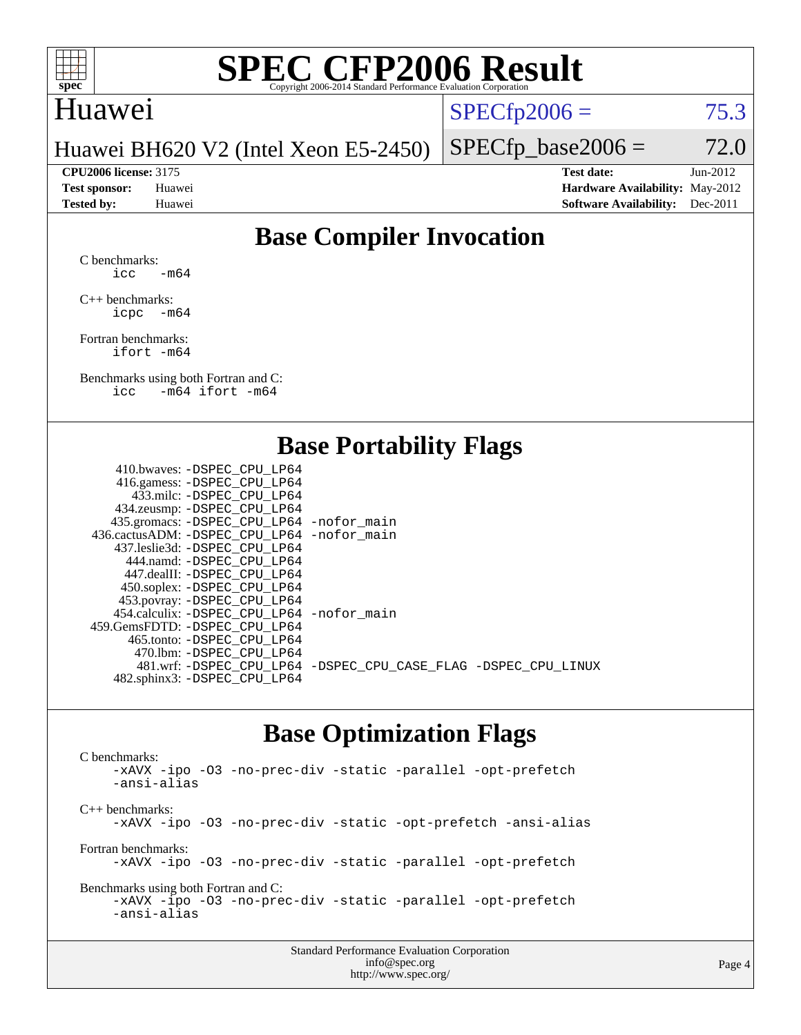

#### Huawei

 $SPECTp2006 = 75.3$ 

Huawei BH620 V2 (Intel Xeon E5-2450)

**[Test sponsor:](http://www.spec.org/auto/cpu2006/Docs/result-fields.html#Testsponsor)** Huawei **[Hardware Availability:](http://www.spec.org/auto/cpu2006/Docs/result-fields.html#HardwareAvailability)** May-2012 **[Tested by:](http://www.spec.org/auto/cpu2006/Docs/result-fields.html#Testedby)** Huawei **[Software Availability:](http://www.spec.org/auto/cpu2006/Docs/result-fields.html#SoftwareAvailability)** Dec-2011

 $SPECfp\_base2006 = 72.0$ **[CPU2006 license:](http://www.spec.org/auto/cpu2006/Docs/result-fields.html#CPU2006license)** 3175 **[Test date:](http://www.spec.org/auto/cpu2006/Docs/result-fields.html#Testdate)** Jun-2012

## **[Base Compiler Invocation](http://www.spec.org/auto/cpu2006/Docs/result-fields.html#BaseCompilerInvocation)**

[C benchmarks](http://www.spec.org/auto/cpu2006/Docs/result-fields.html#Cbenchmarks): icc  $-m64$ 

[C++ benchmarks:](http://www.spec.org/auto/cpu2006/Docs/result-fields.html#CXXbenchmarks) [icpc -m64](http://www.spec.org/cpu2006/results/res2012q3/cpu2006-20120702-23326.flags.html#user_CXXbase_intel_icpc_64bit_bedb90c1146cab66620883ef4f41a67e)

[Fortran benchmarks](http://www.spec.org/auto/cpu2006/Docs/result-fields.html#Fortranbenchmarks): [ifort -m64](http://www.spec.org/cpu2006/results/res2012q3/cpu2006-20120702-23326.flags.html#user_FCbase_intel_ifort_64bit_ee9d0fb25645d0210d97eb0527dcc06e)

[Benchmarks using both Fortran and C](http://www.spec.org/auto/cpu2006/Docs/result-fields.html#BenchmarksusingbothFortranandC): [icc -m64](http://www.spec.org/cpu2006/results/res2012q3/cpu2006-20120702-23326.flags.html#user_CC_FCbase_intel_icc_64bit_0b7121f5ab7cfabee23d88897260401c) [ifort -m64](http://www.spec.org/cpu2006/results/res2012q3/cpu2006-20120702-23326.flags.html#user_CC_FCbase_intel_ifort_64bit_ee9d0fb25645d0210d97eb0527dcc06e)

### **[Base Portability Flags](http://www.spec.org/auto/cpu2006/Docs/result-fields.html#BasePortabilityFlags)**

| 410.bwaves: -DSPEC CPU LP64                  |                                                                |
|----------------------------------------------|----------------------------------------------------------------|
| 416.gamess: -DSPEC_CPU_LP64                  |                                                                |
| 433.milc: -DSPEC CPU LP64                    |                                                                |
| 434.zeusmp: -DSPEC_CPU_LP64                  |                                                                |
| 435.gromacs: -DSPEC_CPU_LP64 -nofor_main     |                                                                |
| 436.cactusADM: - DSPEC CPU LP64 - nofor main |                                                                |
| 437.leslie3d: -DSPEC CPU LP64                |                                                                |
| 444.namd: -DSPEC CPU LP64                    |                                                                |
| 447.dealII: - DSPEC CPU LP64                 |                                                                |
| 450.soplex: -DSPEC_CPU_LP64                  |                                                                |
| 453.povray: -DSPEC_CPU_LP64                  |                                                                |
| 454.calculix: -DSPEC CPU LP64 -nofor main    |                                                                |
| 459.GemsFDTD: - DSPEC_CPU LP64               |                                                                |
| 465.tonto: - DSPEC CPU LP64                  |                                                                |
| 470.1bm: -DSPEC CPU LP64                     |                                                                |
|                                              | 481.wrf: -DSPEC CPU_LP64 -DSPEC_CPU_CASE_FLAG -DSPEC_CPU_LINUX |
| 482.sphinx3: -DSPEC_CPU_LP64                 |                                                                |
|                                              |                                                                |

#### **[Base Optimization Flags](http://www.spec.org/auto/cpu2006/Docs/result-fields.html#BaseOptimizationFlags)**

[C benchmarks](http://www.spec.org/auto/cpu2006/Docs/result-fields.html#Cbenchmarks): [-xAVX](http://www.spec.org/cpu2006/results/res2012q3/cpu2006-20120702-23326.flags.html#user_CCbase_f-xAVX) [-ipo](http://www.spec.org/cpu2006/results/res2012q3/cpu2006-20120702-23326.flags.html#user_CCbase_f-ipo) [-O3](http://www.spec.org/cpu2006/results/res2012q3/cpu2006-20120702-23326.flags.html#user_CCbase_f-O3) [-no-prec-div](http://www.spec.org/cpu2006/results/res2012q3/cpu2006-20120702-23326.flags.html#user_CCbase_f-no-prec-div) [-static](http://www.spec.org/cpu2006/results/res2012q3/cpu2006-20120702-23326.flags.html#user_CCbase_f-static) [-parallel](http://www.spec.org/cpu2006/results/res2012q3/cpu2006-20120702-23326.flags.html#user_CCbase_f-parallel) [-opt-prefetch](http://www.spec.org/cpu2006/results/res2012q3/cpu2006-20120702-23326.flags.html#user_CCbase_f-opt-prefetch) [-ansi-alias](http://www.spec.org/cpu2006/results/res2012q3/cpu2006-20120702-23326.flags.html#user_CCbase_f-ansi-alias) [C++ benchmarks:](http://www.spec.org/auto/cpu2006/Docs/result-fields.html#CXXbenchmarks) [-xAVX](http://www.spec.org/cpu2006/results/res2012q3/cpu2006-20120702-23326.flags.html#user_CXXbase_f-xAVX) [-ipo](http://www.spec.org/cpu2006/results/res2012q3/cpu2006-20120702-23326.flags.html#user_CXXbase_f-ipo) [-O3](http://www.spec.org/cpu2006/results/res2012q3/cpu2006-20120702-23326.flags.html#user_CXXbase_f-O3) [-no-prec-div](http://www.spec.org/cpu2006/results/res2012q3/cpu2006-20120702-23326.flags.html#user_CXXbase_f-no-prec-div) [-static](http://www.spec.org/cpu2006/results/res2012q3/cpu2006-20120702-23326.flags.html#user_CXXbase_f-static) [-opt-prefetch](http://www.spec.org/cpu2006/results/res2012q3/cpu2006-20120702-23326.flags.html#user_CXXbase_f-opt-prefetch) [-ansi-alias](http://www.spec.org/cpu2006/results/res2012q3/cpu2006-20120702-23326.flags.html#user_CXXbase_f-ansi-alias) [Fortran benchmarks](http://www.spec.org/auto/cpu2006/Docs/result-fields.html#Fortranbenchmarks): [-xAVX](http://www.spec.org/cpu2006/results/res2012q3/cpu2006-20120702-23326.flags.html#user_FCbase_f-xAVX) [-ipo](http://www.spec.org/cpu2006/results/res2012q3/cpu2006-20120702-23326.flags.html#user_FCbase_f-ipo) [-O3](http://www.spec.org/cpu2006/results/res2012q3/cpu2006-20120702-23326.flags.html#user_FCbase_f-O3) [-no-prec-div](http://www.spec.org/cpu2006/results/res2012q3/cpu2006-20120702-23326.flags.html#user_FCbase_f-no-prec-div) [-static](http://www.spec.org/cpu2006/results/res2012q3/cpu2006-20120702-23326.flags.html#user_FCbase_f-static) [-parallel](http://www.spec.org/cpu2006/results/res2012q3/cpu2006-20120702-23326.flags.html#user_FCbase_f-parallel) [-opt-prefetch](http://www.spec.org/cpu2006/results/res2012q3/cpu2006-20120702-23326.flags.html#user_FCbase_f-opt-prefetch) [Benchmarks using both Fortran and C](http://www.spec.org/auto/cpu2006/Docs/result-fields.html#BenchmarksusingbothFortranandC): [-xAVX](http://www.spec.org/cpu2006/results/res2012q3/cpu2006-20120702-23326.flags.html#user_CC_FCbase_f-xAVX) [-ipo](http://www.spec.org/cpu2006/results/res2012q3/cpu2006-20120702-23326.flags.html#user_CC_FCbase_f-ipo) [-O3](http://www.spec.org/cpu2006/results/res2012q3/cpu2006-20120702-23326.flags.html#user_CC_FCbase_f-O3) [-no-prec-div](http://www.spec.org/cpu2006/results/res2012q3/cpu2006-20120702-23326.flags.html#user_CC_FCbase_f-no-prec-div) [-static](http://www.spec.org/cpu2006/results/res2012q3/cpu2006-20120702-23326.flags.html#user_CC_FCbase_f-static) [-parallel](http://www.spec.org/cpu2006/results/res2012q3/cpu2006-20120702-23326.flags.html#user_CC_FCbase_f-parallel) [-opt-prefetch](http://www.spec.org/cpu2006/results/res2012q3/cpu2006-20120702-23326.flags.html#user_CC_FCbase_f-opt-prefetch) [-ansi-alias](http://www.spec.org/cpu2006/results/res2012q3/cpu2006-20120702-23326.flags.html#user_CC_FCbase_f-ansi-alias)

| <b>Standard Performance Evaluation Corporation</b> |  |
|----------------------------------------------------|--|
| info@spec.org                                      |  |
| http://www.spec.org/                               |  |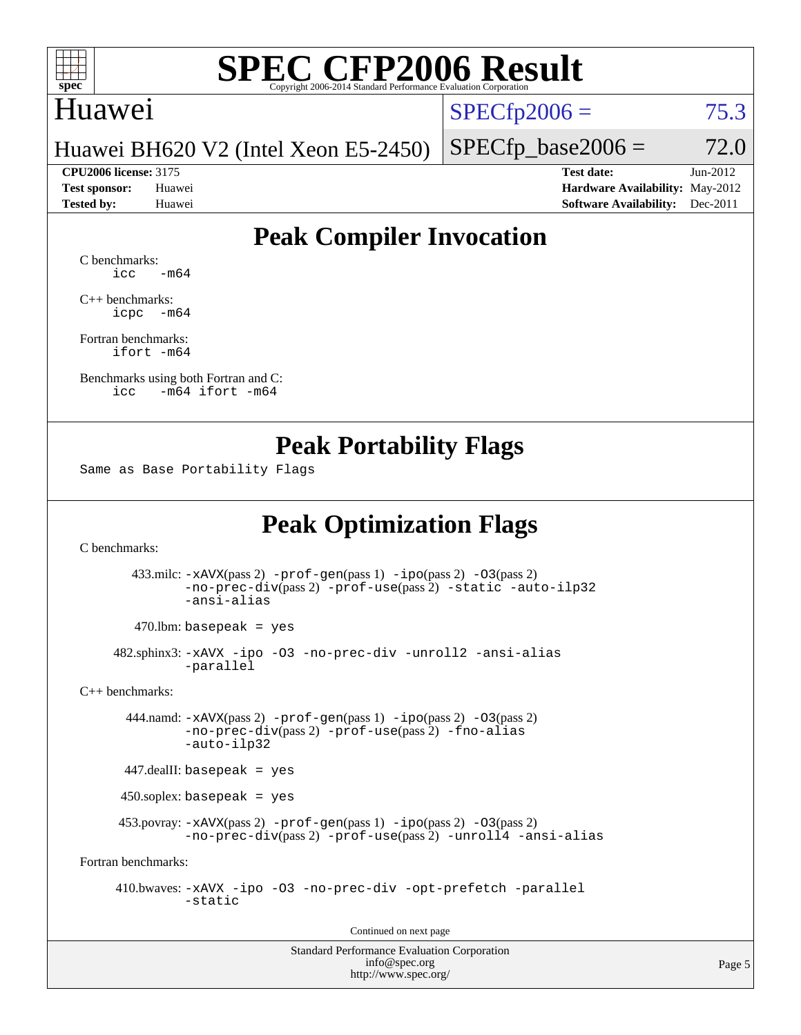

#### Huawei

 $SPECfp2006 = 75.3$  $SPECfp2006 = 75.3$ 

Huawei BH620 V2 (Intel Xeon E5-2450)

#### **[CPU2006 license:](http://www.spec.org/auto/cpu2006/Docs/result-fields.html#CPU2006license)** 3175 **[Test date:](http://www.spec.org/auto/cpu2006/Docs/result-fields.html#Testdate)** Jun-2012

 $SPECfp\_base2006 = 72.0$ 

**[Test sponsor:](http://www.spec.org/auto/cpu2006/Docs/result-fields.html#Testsponsor)** Huawei **[Hardware Availability:](http://www.spec.org/auto/cpu2006/Docs/result-fields.html#HardwareAvailability)** May-2012 **[Tested by:](http://www.spec.org/auto/cpu2006/Docs/result-fields.html#Testedby)** Huawei **[Software Availability:](http://www.spec.org/auto/cpu2006/Docs/result-fields.html#SoftwareAvailability)** Dec-2011

## **[Peak Compiler Invocation](http://www.spec.org/auto/cpu2006/Docs/result-fields.html#PeakCompilerInvocation)**

[C benchmarks](http://www.spec.org/auto/cpu2006/Docs/result-fields.html#Cbenchmarks):  $\text{icc}$   $-\text{m64}$ 

[C++ benchmarks:](http://www.spec.org/auto/cpu2006/Docs/result-fields.html#CXXbenchmarks) [icpc -m64](http://www.spec.org/cpu2006/results/res2012q3/cpu2006-20120702-23326.flags.html#user_CXXpeak_intel_icpc_64bit_bedb90c1146cab66620883ef4f41a67e)

[Fortran benchmarks](http://www.spec.org/auto/cpu2006/Docs/result-fields.html#Fortranbenchmarks): [ifort -m64](http://www.spec.org/cpu2006/results/res2012q3/cpu2006-20120702-23326.flags.html#user_FCpeak_intel_ifort_64bit_ee9d0fb25645d0210d97eb0527dcc06e)

[Benchmarks using both Fortran and C](http://www.spec.org/auto/cpu2006/Docs/result-fields.html#BenchmarksusingbothFortranandC): [icc -m64](http://www.spec.org/cpu2006/results/res2012q3/cpu2006-20120702-23326.flags.html#user_CC_FCpeak_intel_icc_64bit_0b7121f5ab7cfabee23d88897260401c) [ifort -m64](http://www.spec.org/cpu2006/results/res2012q3/cpu2006-20120702-23326.flags.html#user_CC_FCpeak_intel_ifort_64bit_ee9d0fb25645d0210d97eb0527dcc06e)

### **[Peak Portability Flags](http://www.spec.org/auto/cpu2006/Docs/result-fields.html#PeakPortabilityFlags)**

Same as Base Portability Flags

## **[Peak Optimization Flags](http://www.spec.org/auto/cpu2006/Docs/result-fields.html#PeakOptimizationFlags)**

[C benchmarks](http://www.spec.org/auto/cpu2006/Docs/result-fields.html#Cbenchmarks):

 433.milc: [-xAVX](http://www.spec.org/cpu2006/results/res2012q3/cpu2006-20120702-23326.flags.html#user_peakPASS2_CFLAGSPASS2_LDFLAGS433_milc_f-xAVX)(pass 2) [-prof-gen](http://www.spec.org/cpu2006/results/res2012q3/cpu2006-20120702-23326.flags.html#user_peakPASS1_CFLAGSPASS1_LDFLAGS433_milc_prof_gen_e43856698f6ca7b7e442dfd80e94a8fc)(pass 1) [-ipo](http://www.spec.org/cpu2006/results/res2012q3/cpu2006-20120702-23326.flags.html#user_peakPASS2_CFLAGSPASS2_LDFLAGS433_milc_f-ipo)(pass 2) [-O3](http://www.spec.org/cpu2006/results/res2012q3/cpu2006-20120702-23326.flags.html#user_peakPASS2_CFLAGSPASS2_LDFLAGS433_milc_f-O3)(pass 2) [-no-prec-div](http://www.spec.org/cpu2006/results/res2012q3/cpu2006-20120702-23326.flags.html#user_peakPASS2_CFLAGSPASS2_LDFLAGS433_milc_f-no-prec-div)(pass 2) [-prof-use](http://www.spec.org/cpu2006/results/res2012q3/cpu2006-20120702-23326.flags.html#user_peakPASS2_CFLAGSPASS2_LDFLAGS433_milc_prof_use_bccf7792157ff70d64e32fe3e1250b55)(pass 2) [-static](http://www.spec.org/cpu2006/results/res2012q3/cpu2006-20120702-23326.flags.html#user_peakOPTIMIZE433_milc_f-static) [-auto-ilp32](http://www.spec.org/cpu2006/results/res2012q3/cpu2006-20120702-23326.flags.html#user_peakCOPTIMIZE433_milc_f-auto-ilp32) [-ansi-alias](http://www.spec.org/cpu2006/results/res2012q3/cpu2006-20120702-23326.flags.html#user_peakCOPTIMIZE433_milc_f-ansi-alias)

 $470.$ lbm: basepeak = yes

 482.sphinx3: [-xAVX](http://www.spec.org/cpu2006/results/res2012q3/cpu2006-20120702-23326.flags.html#user_peakOPTIMIZE482_sphinx3_f-xAVX) [-ipo](http://www.spec.org/cpu2006/results/res2012q3/cpu2006-20120702-23326.flags.html#user_peakOPTIMIZE482_sphinx3_f-ipo) [-O3](http://www.spec.org/cpu2006/results/res2012q3/cpu2006-20120702-23326.flags.html#user_peakOPTIMIZE482_sphinx3_f-O3) [-no-prec-div](http://www.spec.org/cpu2006/results/res2012q3/cpu2006-20120702-23326.flags.html#user_peakOPTIMIZE482_sphinx3_f-no-prec-div) [-unroll2](http://www.spec.org/cpu2006/results/res2012q3/cpu2006-20120702-23326.flags.html#user_peakCOPTIMIZE482_sphinx3_f-unroll_784dae83bebfb236979b41d2422d7ec2) [-ansi-alias](http://www.spec.org/cpu2006/results/res2012q3/cpu2006-20120702-23326.flags.html#user_peakCOPTIMIZE482_sphinx3_f-ansi-alias) [-parallel](http://www.spec.org/cpu2006/results/res2012q3/cpu2006-20120702-23326.flags.html#user_peakCOPTIMIZE482_sphinx3_f-parallel)

[C++ benchmarks:](http://www.spec.org/auto/cpu2006/Docs/result-fields.html#CXXbenchmarks)

 444.namd: [-xAVX](http://www.spec.org/cpu2006/results/res2012q3/cpu2006-20120702-23326.flags.html#user_peakPASS2_CXXFLAGSPASS2_LDFLAGS444_namd_f-xAVX)(pass 2) [-prof-gen](http://www.spec.org/cpu2006/results/res2012q3/cpu2006-20120702-23326.flags.html#user_peakPASS1_CXXFLAGSPASS1_LDFLAGS444_namd_prof_gen_e43856698f6ca7b7e442dfd80e94a8fc)(pass 1) [-ipo](http://www.spec.org/cpu2006/results/res2012q3/cpu2006-20120702-23326.flags.html#user_peakPASS2_CXXFLAGSPASS2_LDFLAGS444_namd_f-ipo)(pass 2) [-O3](http://www.spec.org/cpu2006/results/res2012q3/cpu2006-20120702-23326.flags.html#user_peakPASS2_CXXFLAGSPASS2_LDFLAGS444_namd_f-O3)(pass 2) [-no-prec-div](http://www.spec.org/cpu2006/results/res2012q3/cpu2006-20120702-23326.flags.html#user_peakPASS2_CXXFLAGSPASS2_LDFLAGS444_namd_f-no-prec-div)(pass 2) [-prof-use](http://www.spec.org/cpu2006/results/res2012q3/cpu2006-20120702-23326.flags.html#user_peakPASS2_CXXFLAGSPASS2_LDFLAGS444_namd_prof_use_bccf7792157ff70d64e32fe3e1250b55)(pass 2) [-fno-alias](http://www.spec.org/cpu2006/results/res2012q3/cpu2006-20120702-23326.flags.html#user_peakCXXOPTIMIZEOPTIMIZE444_namd_f-no-alias_694e77f6c5a51e658e82ccff53a9e63a) [-auto-ilp32](http://www.spec.org/cpu2006/results/res2012q3/cpu2006-20120702-23326.flags.html#user_peakCXXOPTIMIZE444_namd_f-auto-ilp32)

447.dealII: basepeak = yes

450.soplex: basepeak = yes

 453.povray: [-xAVX](http://www.spec.org/cpu2006/results/res2012q3/cpu2006-20120702-23326.flags.html#user_peakPASS2_CXXFLAGSPASS2_LDFLAGS453_povray_f-xAVX)(pass 2) [-prof-gen](http://www.spec.org/cpu2006/results/res2012q3/cpu2006-20120702-23326.flags.html#user_peakPASS1_CXXFLAGSPASS1_LDFLAGS453_povray_prof_gen_e43856698f6ca7b7e442dfd80e94a8fc)(pass 1) [-ipo](http://www.spec.org/cpu2006/results/res2012q3/cpu2006-20120702-23326.flags.html#user_peakPASS2_CXXFLAGSPASS2_LDFLAGS453_povray_f-ipo)(pass 2) [-O3](http://www.spec.org/cpu2006/results/res2012q3/cpu2006-20120702-23326.flags.html#user_peakPASS2_CXXFLAGSPASS2_LDFLAGS453_povray_f-O3)(pass 2) [-no-prec-div](http://www.spec.org/cpu2006/results/res2012q3/cpu2006-20120702-23326.flags.html#user_peakPASS2_CXXFLAGSPASS2_LDFLAGS453_povray_f-no-prec-div)(pass 2) [-prof-use](http://www.spec.org/cpu2006/results/res2012q3/cpu2006-20120702-23326.flags.html#user_peakPASS2_CXXFLAGSPASS2_LDFLAGS453_povray_prof_use_bccf7792157ff70d64e32fe3e1250b55)(pass 2) [-unroll4](http://www.spec.org/cpu2006/results/res2012q3/cpu2006-20120702-23326.flags.html#user_peakCXXOPTIMIZE453_povray_f-unroll_4e5e4ed65b7fd20bdcd365bec371b81f) [-ansi-alias](http://www.spec.org/cpu2006/results/res2012q3/cpu2006-20120702-23326.flags.html#user_peakCXXOPTIMIZE453_povray_f-ansi-alias)

[Fortran benchmarks](http://www.spec.org/auto/cpu2006/Docs/result-fields.html#Fortranbenchmarks):

 410.bwaves: [-xAVX](http://www.spec.org/cpu2006/results/res2012q3/cpu2006-20120702-23326.flags.html#user_peakOPTIMIZE410_bwaves_f-xAVX) [-ipo](http://www.spec.org/cpu2006/results/res2012q3/cpu2006-20120702-23326.flags.html#user_peakOPTIMIZE410_bwaves_f-ipo) [-O3](http://www.spec.org/cpu2006/results/res2012q3/cpu2006-20120702-23326.flags.html#user_peakOPTIMIZE410_bwaves_f-O3) [-no-prec-div](http://www.spec.org/cpu2006/results/res2012q3/cpu2006-20120702-23326.flags.html#user_peakOPTIMIZE410_bwaves_f-no-prec-div) [-opt-prefetch](http://www.spec.org/cpu2006/results/res2012q3/cpu2006-20120702-23326.flags.html#user_peakOPTIMIZE410_bwaves_f-opt-prefetch) [-parallel](http://www.spec.org/cpu2006/results/res2012q3/cpu2006-20120702-23326.flags.html#user_peakOPTIMIZE410_bwaves_f-parallel) [-static](http://www.spec.org/cpu2006/results/res2012q3/cpu2006-20120702-23326.flags.html#user_peakOPTIMIZE410_bwaves_f-static)

Continued on next page

Standard Performance Evaluation Corporation [info@spec.org](mailto:info@spec.org) <http://www.spec.org/>